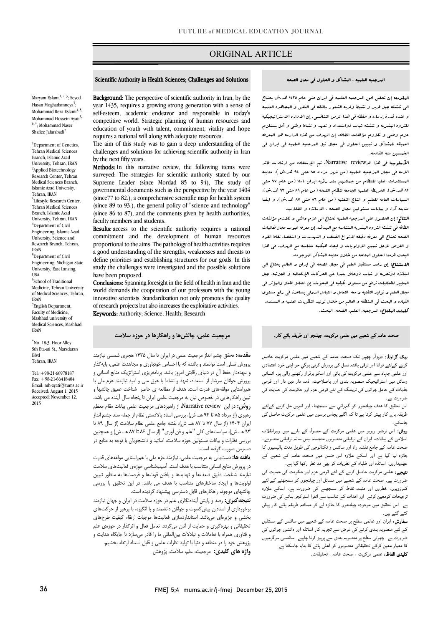## ORIGINAL ARTICLE

### Scientific Authority in Health Sciences; Challenges and Solutions

Ī

Maryam Eslami<sup>1, 2, 3</sup>; Seyed Hasan Moghadamneya<sup>3</sup>; Mohammad Reza Eslami<sup>4, 5</sup>; Mohammad Hossein Ayati<sup>3,</sup> 6 ,\*; Mohammad Naser Shafiee Jafarabadi<sup>7</sup>

<sup>1</sup>Department of Genetics, Tehran Medical Sciences Branch, Islamic Azad University, Tehran, IRAN <sup>2</sup>Applied Biotechnology Research Center, Tehran Medical Sciences Branch, Islamic Azad University, Tehran, IRAN <sup>3</sup>Lifestyle Research Center, Tehran Medical Sciences Branch, Islamic Azad University, Tehran, IRAN <sup>4</sup>Department of Civil Engineering, Islamic Azad University, Science and Research Branch, Tehran, IRAN 5 Department of Civil

Engineering, Michigan State University, East Lansing, USA

6 School of Traditional Medicine, Tehran University of Medical Sciences, Tehran, IRAN 7 English Department,

Faculty of Medicine, Mashhad university of Medical Sciences, Mashhad, IRAN

\* No. 18-3, Hoor Alley Sth Eta-ati St., Marzdaran Blvd Tehran, IRAN

Tel: +98-21-66978187  $Fax + 98-21-66418404$ Email: mh-ayati@tums.ac.ir Received: August 1, 2015 Accepted: November 12, 2015

**Background:** The perspective of scientific authority in Iran, by the self-esteem, academic endeavor and responsible in today's competitive world. Strategic planning of human resources and requires a national will along with adequate resources. year 1435, requires a growing strong generation with a sense of education of youth with talent, commitment, vitality and hope

 The aim of this study was to gain a deep understanding of the challenges and solutions for achieving scientific authority in Iran by the next fifty years.

Methods: In this narrative review, the following items were surveyed: The strategies for scientific authority stated by our governmental documents such as the perspective by the year 1404 (since77 to 82.), a comprehensive scientific map for health system (since 89 to 93.), the general policy of "science and technology" (since 86 to 87), and the comments given by health authorities, faculty members and students Supreme Leader (since Mordad 85 to 94), The study of faculty members and students.

Results: access to the scientific authority requires a national commitment and the development of human resources a good understanding of the strengths, weaknesses and threats to define priorities and establishing structures for our goals. In this proportional to the aims. The pathology of health activities requires study the challenges were investigated and the possible solutions have been proposed.

Conclusions: Spanning foresight in the field of health in Iran and the wond demands the cooperation of our professors with the young<br>innovative scientists. Standardization not only promotes the quality of research projects but also increases the exploitative activities. Keywords: Authority; Science; Health; Researchworld demands the cooperation of our professors with the young

## **مرجعیت علمی، چالشها و راهکارها در حوزه سلامت**

 **مقدمه:** تحقق چشم انداز مرجعیت علمی در ایران تا سال 1435 هجري شمسی نیازمند بررز تا دی در دستر در دنیای باشد.<br>و عهدهدار حفظ آن در دنیای رقابتی امروز باشد. برنامهریزی استراتژیک منابع انسانی و پرورش جوانان سرشار از استعداد، تعهد و نشاط با عرق ملی و امید نیازمند عزم ملی با همراستایی مولفههاي قدرت است. هدف از مطالعه ي حاضر شناخت عمیق چالشها و تبین راهکارهایی در خصوص نیل به مرجعیت علمی ایران تا پنجاه سال آینده می باشد. روس کی از سی از سال بالادست و در سال در سال بالادستی نظام از جمله سند چشم انداز<br>رهبری (از مرداد ۸۵ تا ۹۴ هــ ش)، بررسی اسناد بالادستی نظام از جمله سند چشم انداز ایران 1404 (از سال 77 تا 82 هـ. ش)، نقشه جامع علمی نظام سلامت (از سال 89 تا 93 هـ. ش)، سیاستهاي کلی "علم و فن آوري" (از سال 86 تا 87 هـ. ش) و همچنین بررسی نظرات و بیانات مسئولین حوزه سلامت، اساتید و دانشجویان با توجه به منابع در پرورش نسلی است توانمند و بالنده که با احساس خودباوري و مجاهدت علمی، پایهگذار **روش:** در این review Narrative، از راهبردهاي مرجعیت علمی بیانات مقام معظم دسترس صورت گرفته است.

 **یافته ها:** دستیابی به مرجعیت علمی، نیازمند عزم ملی با همراستایی مولفههاي قدرت در پرورش منابع انسانی متناسب با هدف است. آسیبشناسی حوزهي فعالیتهاي سلامت نیازمند شناخت دقیق ضعفها و تهدیدها و یافتن قوتها و فرصتها به منظور تبیین اولویتها و ایجاد ساختارهاي متناسب با هدف می باشد. در این تحقیق با بررسی چالشهاي موجود، راهکارهاي قابل دسترسی پیشنهاد گردیده است.

 **نتیجهگیري:** رصد و پایش آیندهنگاري علم در حوزه سلامت در ایران و جهان نیازمند برخورداري از استادان پیشکسوت و جوانان دانشمند و با انگیزه، با پرهیز از حرکتهاي بخشی و جزیرهاي میباشد. استانداردسازي فعالیتها موجبات ارتقاء کیفیت طرحهاي تحقیقاتی و بهره نیزی و حمایت از امن می تردد. تعامل تعان و ابر ندار در خورهای عنم<br>و فناوری همراه با تعاملات و تبادلات بین|لمللی ما را قادر میسازد تا جایگاه هدایت و پژوهش خود را در منطقه و دنیا با تولید نظرات علمی و قابل استناد ارتقاء بخشیم. **واژه هاي کلیدي:** مرجعیت، علم، سلامت، پژوهش تحقیقاتی و بهرهگیري و حمایت از آنان میگردد. تعامل فعال و اثرگذار در حوزهي علم

#### المرجعیه العلمیه ، المشاکل و الحلول فی مجال الصحه

Ī

ا**لمقدمه:** إن تحقق افق العرجعیه العلمیه فی ایران حتی عام ۱٤٣٥ هد.ش یحتاج<br>. الی تنشئه جیل قدیر و نشیط ولدیه الشعور بالثقه فی النفس و المجاهده العلمیه للثروه البشریه و تنشئه شباب ذواستعداد و تعهد و نشاط وطنی و أمل یستلزم عزم وطنی و تلازم مؤلفات الطاقه. إن الهدف من هذه الدارسه هو المعرفه العمیقه للمشاکل و تبیین الحلول فی مجال نیل المرجعیه العلمیه فی ایران فی الخمسین سنه القادمه. و عنده قدرة إرساءه و حفظه فی هذا الزمن التنافسی. إن الاداره الاستراتیجیکیه

ا**لأسلوب:** ف<sub>ی</sub> هذا الدNarrative review، تم الإستفاده من ارشادات قائد الامه فی مجال المرجعیه العلمیه (من شهر مرداد 85 حتی 94 هد.ش )، متابعه 82 هد.ش)، الخریطه العلمیه الجامعه لنظام الصحه (من عام 89 حتی 93 هد.ش)، السیاسات العامه للعلم و انتاج التقنیه (من عام 86 حتی 87 هد.ش). و ایضا متابعه آراء و بیانات مسئولین مجال الصحه ، الاساتذه و الطلاب. المستندات العلیا للنظام من جملتهم سند رؤیه ایران 1404 (من عام 77 حتی

 النتائج: إن الحصول علی المرجعیه العلمیه تحتاج الی عزم وطنی و تلازم مؤلفات الطاقه فی تنشئه الثروه البشریه المتناسبه مع الهدف. إن معرفه عیوب مجال فعالیات الصحه تحتاج الی معرفه دقیقه لانواع الضعف و التهدیدت و استقصاء نقاط القوه البحث قدمنا الحلول المتاحه من خلال متابعه المشاکل الموجوده. و الفرص لاجل تبیین الاولویات و ایجاد هیکلیه متناسبه مع الهدف. فی هذا

 الاستنتاج: إن رصد مستقبل العلم فی مجال الصحه فی ایران و العالم یحتاج الی استاتذه ذوتجربه و شباب ذوحافز بعیدا عن الحرکات الإنفعالیه و الجزئیه. جعل المعاییر للفعالیات ترفع من مستوي الکیفیه فی البحوث. إن التعامل الفعال والمؤثر فی مجال العلم و تولید التقنیه و معه التعامل و التبادل الدولی یساعدنا فی رفع مستوي القیاده و البحث فی المنطقه و العالم من خلال تولید النظریات العلمیه و المسنده. کلمات المفتاح: المرجعیه، العلم، الصحه، البحث.

## صحت عامہ کے شعبے میں علمی مرکزیت، جیلنجز اور طریقہ ہائے کار۔

**یک گراونڈ:** دوہزآر چھپن تک صحت عامہ کے شعبے میں علمی مرکزیت حاصل کرنے کےلئے توانا اور ترقبی یافتہ نسل کی پرورش کرنی ہوگیے جو اپنی خود اعتمادی<br>اسماء .<br>وسائل میں اسٹراٹیجیک منصوبہ بندی اور باصلاحیت، ذمہ دار دین دار اور قومی جذبات کے حامل جوانوں کی ٹریننگ کے لئے قومی عزم اور حکومت کی حمایت کی اور علمی جہاد سے علمی مرکزیت کی بانی اور اسکو برقرار رکھنے والی ہو۔ انسانی ضرورت ہے۔

صرورت ہے۔<br>اس تحقیق کا ہدف چیلنجوں کو گہرائي سے سمجھنا، اور انہیں حل کرنے کےلئے ے لیے ہیں۔<br>طریقہ ہارے کار پیش کرنا ہے تا کہ اگلے پچاس برسوں میں علمی مرکزیت حاصل کی جاسکے ۔

**روش:** اس نریٹیو ریویو میں علمی مرکزیت کے حصول کے بار<sub>ے</sub> میں رہبرانقلاب راہ اور و ت ں جائزہ لیا گیا ہے اور اسکے علاوہ اس ضمن میں صحت عامہ کے شعبے کے عهدیداروں، اساتذہ اور طلباء کے نظریات کو بھی مد نظر رکھا گیا ہے۔ اسلامی کے بیانات، ایران کے ترقیاتی منصوبوں منجملہ بیس سالہ ترقیاتی منصوبے،

میبی ، حسی مرتبت حسی ترتے سے سے ترتی عرم اور حسین سی سبت ہی۔<br>ضرورت ہے ۔ صحت عامہ کے شعبے میں مسائل اور چیلنجوں کو سمجھنے کے لئے کمرزویوں، خطروں اور مثبت نقاط کو سمجھنے کی ضرورت ہے۔ اسکے علاوہ نرجیحات کومعین کرنے اور اہداف کے تناسب سے انفرا اسٹرکجر بنانے کی ضرورت ہے۔ اس تحقیق میں موجودہ چیلنجوں کا جائزہ لے کر ممکنہ طریقہ ہائے کار پیش<br>۔ **نتیجے:** علمی مرکزیت حاصل کرنے کے لئے قومی عزم اور حکومت کی حمایت کی کئے گئے ہیں۔

**سفارش:** ایران اور عالمی سطح پر صحت عامہ کے شعبے میں سائنس کے مستقبل کے لئے منصوبہ بندی کرنے کی غرض سے تجربہ کار اساتذہ اور دانشور جوانوں کی ضرورت ہے۔ چھوٹی سطح پر منصوبہ بندی سے پرہیز کرنا چاہیے۔ سائنسی سرگرمیوں ی است کی سے ہیں ہے۔<br>**کلیدی الفاظ:** علمی مرکزیت ، صحت عامہ ، تحقیقات۔ کا معیار معین کرکے تحقیقاتی منصوبوں کو اعلی پائے کا بنایا جاسکتا ہے۔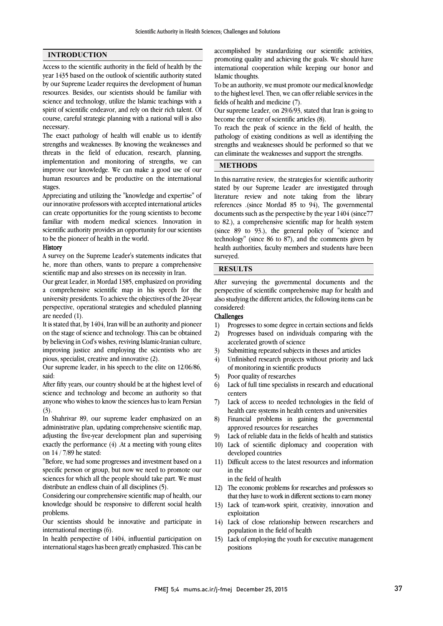## **INTRODUCTION**

Access to the scientific authority in the field of health by the year 1435 based on the outlook of scientific authority stated by our Supreme Leader requires the development of human resources. Besides, our scientists should be familiar with science and technology, utilize the Islamic teachings with a spirit of scientific endeavor, and rely on their rich talent. Of course, careful strategic planning with a national will is also necessary.

The exact pathology of health will enable us to identify strengths and weaknesses. By knowing the weaknesses and threats in the field of education, research, planning, implementation and monitoring of strengths, we can improve our knowledge. We can make a good use of our human resources and be productive on the international stages.

Appreciating and utilizing the "knowledge and expertise" of our innovative professors with accepted international articles can create opportunities for the young scientists to become familiar with modern medical sciences. Innovation in scientific authority provides an opportunity for our scientists to be the pioneer of health in the world.

### **History**

A survey on the Supreme Leader's statements indicates that he, more than others, wants to prepare a comprehensive scientific map and also stresses on its necessity in Iran.

Our great Leader, in Mordad 1385, emphasized on providing a comprehensive scientific map in his speech for the university presidents. To achieve the objectives of the 20-year perspective, operational strategies and scheduled planning are needed (1).

It is stated that, by 1404, Iran will be an authority and pioneer on the stage of science and technology. This can be obtained by believing in Cod's wishes, reviving Islamic-Iranian culture, improving justice and employing the scientists who are pious, specialist, creative and innovative (2).

Our supreme leader, in his speech to the elite on 12/06/86, said:

After fifty years, our country should be at the highest level of science and technology and become an authority so that anyone who wishes to know the sciences has to learn Persian (3).

In Shahrivar 89, our supreme leader emphasized on an administrative plan, updating comprehensive scientific map, adjusting the five-year development plan and supervising exactly the performance  $(4)$ . At a meeting with young elites on 14 / 7/89 he stated:

"Before, we had some progresses and investment based on a specific person or group, but now we need to promote our sciences for which all the people should take part. We must distribute an endless chain of all disciplines (5).

Considering our comprehensive scientific map of health, our knowledge should be responsive to different social health problems.

Our scientists should be innovative and participate in international meetings (6).

In health perspective of 1404, influential participation on international stages has been greatly emphasized. This can be  accomplished by standardizing our scientific activities, promoting quality and achieving the goals. We should have international cooperation while keeping our honor and Islamic thoughts.

 to the highest level. Then, we can offer reliable services in the fields of health and medicine (7). To be an authority, we must promote our medical knowledge

 Our supreme Leader, on 29/6/93, stated that Iran is going to become the center of scientific articles (8).

 pathology of existing conditions as well as identifying the strengths and weaknesses should be performed so that we can eliminate the weaknesses and support the strengths. To reach the peak of science in the field of health, the

## **METHODS**

 In this narrative review, the strategies for scientific authority stated by our Supreme Leader are investigated through literature review and note taking from the library references .(since Mordad 85 to 94), The governmental to 82.), a comprehensive scientific map for health system (since 89 to 93.), the general policy of "science and technology" (since 86 to 87), and the comments given by health authorities, faculty members and students have been surveyed. documents such as the perspective by the year 1404 (since77

# **RESULTS**

 After surveying the governmental documents and the perspective of scientific comprehensive map for health and considered: also studying the different articles, the following items can be

## Challenges

- 1) Progresses to some degree in certain sections and fields 2) Progresses based on individuals comparing with the accelerated growth of science
- 3) Submitting repeated subjects in theses and articles
- 4) Unfinished research projects without priority and lack of monitoring in scientific products
- 5) Poor quality of researches
- 6) Lack of full time specialists in research and educational centers
- 7) Lack of access to needed technologies in the field of health care systems in health centers and universities
- 8) Financial problems in gaining the governmental approved resources for researches
- 9) Lack of reliable data in the fields of health and statistics
- 10) Lack of scientific diplomacy and cooperation with developed countries
- 11) Difficult access to the latest resources and information in the

in the field of health

- 12) The economic problems for researches and professors so that they have to work in different sections to earn money
- 13) Lack of team-work spirit, creativity, innovation and exploitation
- 14) Lack of close relationship between researchers and population in the field of health
- 15) Lack of employing the youth for executive management positions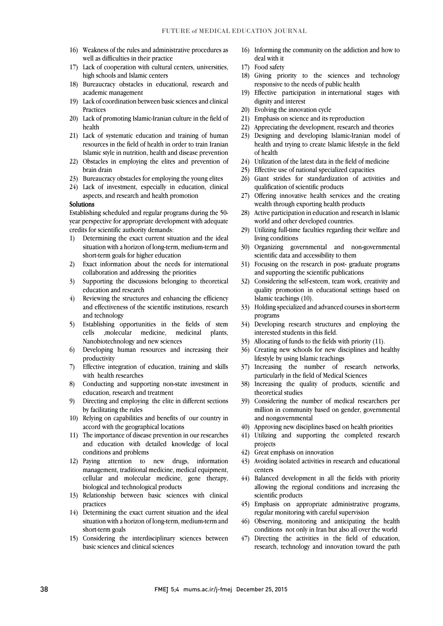- 16) Weakness of the rules and administrative procedures as well as difficulties in their practice
- 17) Lack of cooperation with cultural centers, universities, high schools and Islamic centers
- 18) Bureaucracy obstacles in educational, research and academic management
- 19) Lack of coordination between basic sciences and clinical Practices
- 20) Lack of promoting Islamic-Iranian culture in the field of health
- 21) Lack of systematic education and training of human resources in the field of health in order to train Iranian Islamic style in nutrition, health and disease prevention
- 22) Obstacles in employing the elites and prevention of brain drain
- 23) Bureaucracy obstacles for employing the young elites
- 24) Lack of investment, especially in education, clinical aspects, and research and health promotion

#### Solutions

 Establishing scheduled and regular programs during the 50- year perspective for appropriate development with adequate credits for scientific authority demands:

- 1) Determining the exact current situation and the ideal situation with a horizon of long-term, medium-term and short-term goals for higher education
- 2) Exact information about the needs for international collaboration and addressing the priorities
- 3) Supporting the discussions belonging to theoretical education and research
- 4) Reviewing the structures and enhancing the efficiency and effectiveness of the scientific institutions, research and technology
- 5) Establishing opportunities in the fields of stem cells ,molecular medicine, medicinal plants, Nanobiotechnology and new sciences
- 6) Developing human resources and increasing their productivity
- 7) Effective integration of education, training and skills with health researches
- 8) Conducting and supporting non-state investment in education, research and treatment
- 9) Directing and employing the elite in different sections by facilitating the rules
- 10) Relying on capabilities and benefits of our country in accord with the geographical locations
- 11) The importance of disease prevention in our researches and education with detailed knowledge of local conditions and problems
- management, traditional medicine, medical equipment, cellular and molecular medicine, gene therapy, 12) Paying attention to new drugs, information biological and technological products
- 13) Relationship between basic sciences with clinical practices
- 14) Determining the exact current situation and the ideal situation with a horizon of long-term, medium-term and short-term goals
- 15) Considering the interdisciplinary sciences between basic sciences and clinical sciences
- 16) Informing the community on the addiction and how to deal with it
- 17) Food safety
- 18) Giving priority to the sciences and technology responsive to the needs of public health
- 19) Effective participation in international stages with dignity and interest
- 20) Evolving the innovation cycle
- 21) Emphasis on science and its reproduction
- 22) Appreciating the development, research and theories
- 23) Designing and developing Islamic-Iranian model of health and trying to create Islamic lifestyle in the field of health
- 24) Utilization of the latest data in the field of medicine
- 25) Effective use of national specialized capacities
- 26) Giant strides for standardization of activities and qualification of scientific products
- 27) Offering innovative health services and the creating wealth through exporting health products
- 28) Active participation in education and research in Islamic world and other developed countries.
- 29) Utilizing full-time faculties regarding their welfare and living conditions
- 30) Organizing governmental and non-governmental scientific data and accessibility to them
- 31) Focusing on the research in post- graduate programs and supporting the scientific publications
- 32) Considering the self-esteem, team work, creativity and quality promotion in educational settings based on Islamic teachings (10).
- 33) Holding specialized and advanced courses in short-term programs
- 34) Developing research structures and employing the interested students in this field.
- 35) Allocating of funds to the fields with priority (11).
- 36) Creating new schools for new disciplines and healthy lifestyle by using Islamic teachings
- 37) Increasing the number of research networks, particularly in the field of Medical Sciences
- 38) Increasing the quality of products, scientific and theoretical studies
- 39) Considering the number of medical researchers per million in community based on gender, governmental and nongovernmental
- 40) Approving new disciplines based on health priorities
- 41) Utilizing and supporting the completed research projects
- 42) Great emphasis on innovation
- 43) Avoiding isolated activities in research and educational centers
- 44) Balanced development in all the fields with priority allowing the regional conditions and increasing the scientific products
- 45) Emphasis on appropriate administrative programs, regular monitoring with careful supervision
- 46) Observing, monitoring and anticipating the health conditions not only in Iran but also all over the world
- 47) Directing the activities in the field of education, research, technology and innovation toward the path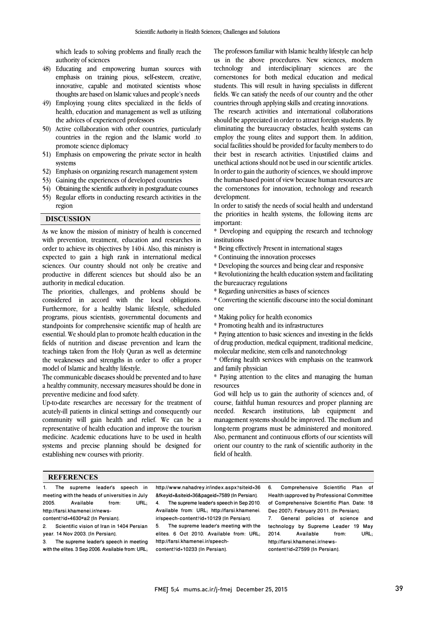which leads to solving problems and finally reach the authority of sciences

- 48) Educating and empowering human sources with emphasis on training pious, self-esteem, creative, innovative, capable and motivated scientists whose thoughts are based on Islamic values and people's needs
- 49) Employing young elites specialized in the fields of health, education and management as well as utilizing the advices of experienced professors
- 50) Active collaboration with other countries, particularly countries in the region and the Islamic world .to promote science diplomacy
- 51) Emphasis on empowering the private sector in health systems
- 52) Emphasis on organizing research management system
- 53) Gaining the experiences of developed countries
- 54) Obtaining the scientific authority in postgraduate courses
- 55) Regular efforts in conducting research activities in the region

### **DISCUSSION**

As we know the mission of ministry of health is concerned with prevention, treatment, education and researches in order to achieve its objectives by 1404. Also, this ministry is expected to gain a high rank in international medical sciences. Our country should not only be creative and productive in different sciences but should also be an authority in medical education.

The priorities, challenges, and problems should be considered in accord with the local obligations. Furthermore, for a healthy Islamic lifestyle, scheduled programs, pious scientists, governmental documents and standpoints for comprehensive scientific map of health are essential. We should plan to promote health education in the fields of nutrition and disease prevention and learn the teachings taken from the Holy Quran as well as determine the weaknesses and strengths in order to offer a proper model of Islamic and healthy lifestyle.

The communicable diseases should be prevented and to have a healthy community, necessary measures should be done in preventive medicine and food safety.

Up-to-date researches are necessary for the treatment of acutely-ill patients in clinical settings and consequently our community will gain health and relief. We can be a representative of health education and improve the tourism medicine. Academic educations have to be used in health systems and precise planning should be designed for establishing new courses with priority.

 The professors familiar with Islamic healthy lifestyle can help us in the above procedures. New sciences, modern technology and interdisciplinary sciences are the cornerstones for both medical education and medical fields. We can satisfy the needs of our country and the other countries through applying skills and creating innovations. students. This will result in having specialists in different

 The research activities and international collaborations should be appreciated in order to attract foreign students. By eminiating the bureaucracy obstacles, health systems can<br>employ the young elites and support them. In addition, social facilities should be provided for faculty members to do their best in research activities. Unjustified claims and unethical actions should not be used in our scientific articles. the human-based point of view because human resources are the cornerstones for innovation, technology and research development. eliminating the bureaucracy obstacles, health systems can In order to gain the authority of sciences, we should improve

 In order to satisfy the needs of social health and understand important: the priorities in health systems, the following items are

 \* Developing and equipping the research and technology institutions

- \* Being effectively Present in international stages
- \* Continuing the innovation processes
- \* Developing the sources and being clear and responsive

 \* Revolutionizing the health education system and facilitating the bureaucracy regulations

- \* Regarding universities as bases of sciences
- \* Converting the scientific discourse into the social dominant one

\* Making policy for health economics

\* Promoting health and its infrastructures

 \* Paying attention to basic sciences and investing in the fields molecular medicine, stem cells and nanotechnology of drug production, medical equipment, traditional medicine,

 \* Offering health services with emphasis on the teamwork and family physician

 \* Paying attention to the elites and managing the human resources

 God will help us to gain the authority of sciences and, of course, faithful human resources and proper planning are needed. Research institutions, lab equipment and management systems should be improved. The medium and Also, permanent and continuous efforts of our scientists will orient our country to the rank of scientific authority in the field of health. long-term programs must be administered and monitored.

#### **REFERENCES**

The supreme leader's speech in meeting with the heads of universities in July<br>2005. Available from: URL: Available http://farsi.khamenei.ir/newscontent?id=4630#a2 [In Persian].

Scientific vision of Iran in 1404 Persian year. 14 Nov 2003. [In Persian].

3. The supreme leader's speech in meeting with the elites. 3 Sep 2006. Available from: URL;

 http://www.nahadrey.ir/index.aspx?siteid=36 &fkeyid=&siteid=36&pageid=7589 [In Persian]. Available from: URL; http://farsi.khamenei. ir/speech-content?id=10129 [In Persian]. 4. The supreme leader's speech in Sep 2010. 5. The supreme leader's meeting with the

 elites. 6 Oct 2010. Available from: URL; http://farsi.khamenei.ir/speech-content?id=10233 [In Persian].

6. Comprehensive Scientific Plan Health (approved by Professional Committee of Comprehensive Scientific Plan. Date: 18 Dec 2007). February 2011. [In Persian].<br>7. General policies of science

General policies of science and technology by Supreme Leader 19 May<br>2014. Available from: URL; Available http://farsi.khamenei.ir/newscontent?id=27599 [In Persian].